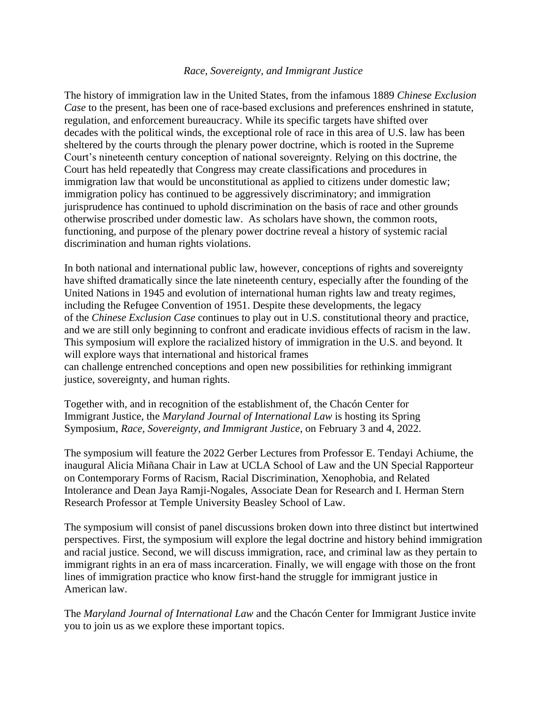## *Race, Sovereignty, and Immigrant Justice*

The history of immigration law in the United States, from the infamous 1889 *Chinese Exclusion Case* to the present, has been one of race-based exclusions and preferences enshrined in statute, regulation, and enforcement bureaucracy. While its specific targets have shifted over decades with the political winds, the exceptional role of race in this area of U.S. law has been sheltered by the courts through the plenary power doctrine, which is rooted in the Supreme Court's nineteenth century conception of national sovereignty. Relying on this doctrine, the Court has held repeatedly that Congress may create classifications and procedures in immigration law that would be unconstitutional as applied to citizens under domestic law; immigration policy has continued to be aggressively discriminatory; and immigration jurisprudence has continued to uphold discrimination on the basis of race and other grounds otherwise proscribed under domestic law. As scholars have shown, the common roots, functioning, and purpose of the plenary power doctrine reveal a history of systemic racial discrimination and human rights violations.

In both national and international public law, however, conceptions of rights and sovereignty have shifted dramatically since the late nineteenth century, especially after the founding of the United Nations in 1945 and evolution of international human rights law and treaty regimes, including the Refugee Convention of 1951. Despite these developments, the legacy of the *Chinese Exclusion Case* continues to play out in U.S. constitutional theory and practice, and we are still only beginning to confront and eradicate invidious effects of racism in the law. This symposium will explore the racialized history of immigration in the U.S. and beyond. It will explore ways that international and historical frames

can challenge entrenched conceptions and open new possibilities for rethinking immigrant justice, sovereignty, and human rights.

Together with, and in recognition of the establishment of, the Chacón Center for Immigrant Justice, the *Maryland Journal of International Law* is hosting its Spring Symposium, *Race, Sovereignty, and Immigrant Justice*, on February 3 and 4, 2022.

The symposium will feature the 2022 Gerber Lectures from Professor E. Tendayi Achiume, the inaugural Alicia Miñana Chair in Law at UCLA School of Law and the UN Special Rapporteur on Contemporary Forms of Racism, Racial Discrimination, Xenophobia, and Related Intolerance and Dean Jaya Ramji-Nogales, Associate Dean for Research and I. Herman Stern Research Professor at Temple University Beasley School of Law.

The symposium will consist of panel discussions broken down into three distinct but intertwined perspectives. First, the symposium will explore the legal doctrine and history behind immigration and racial justice. Second, we will discuss immigration, race, and criminal law as they pertain to immigrant rights in an era of mass incarceration. Finally, we will engage with those on the front lines of immigration practice who know first-hand the struggle for immigrant justice in American law.

The *Maryland Journal of International Law* and the Chacón Center for Immigrant Justice invite you to join us as we explore these important topics.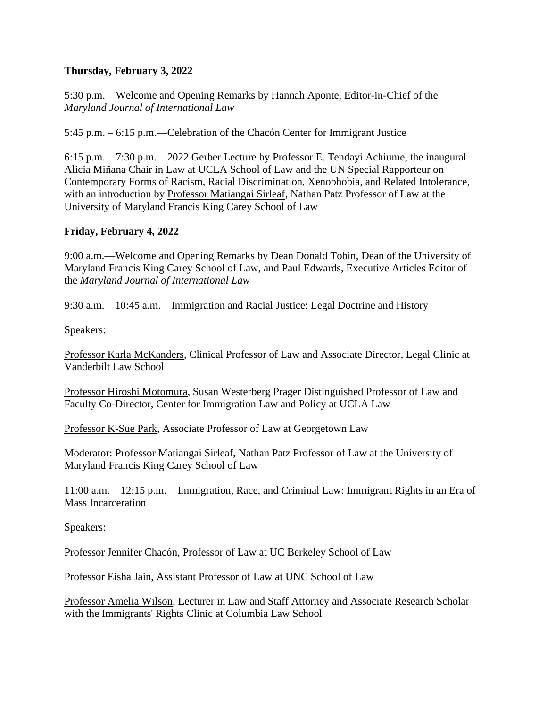## **Thursday, February 3, 2022**

5:30 p.m.—Welcome and Opening Remarks by Hannah Aponte, Editor-in-Chief of the *Maryland Journal of International Law*

5:45 p.m. – 6:15 p.m.—Celebration of the Chacón Center for Immigrant Justice

6:15 p.m. – 7:30 p.m.—2022 Gerber Lecture by [Professor E. Tendayi Achiume,](https://law.ucla.edu/faculty/faculty-profiles/e-tendayi-achiume) the inaugural Alicia Miñana Chair in Law at UCLA School of Law and the UN Special Rapporteur on Contemporary Forms of Racism, Racial Discrimination, Xenophobia, and Related Intolerance, with an introduction by [Professor Matiangai Sirleaf,](https://www.law.umaryland.edu/Faculty-and-Staff-List/profile.php?id=1216) Nathan Patz Professor of Law at the University of Maryland Francis King Carey School of Law

## **Friday, February 4, 2022**

9:00 a.m.—Welcome and Opening Remarks by [Dean Donald Tobin,](https://www.law.umaryland.edu/Faculty-and-Staff-List/profile.php?id=1061) Dean of the University of Maryland Francis King Carey School of Law, and Paul Edwards, Executive Articles Editor of the *Maryland Journal of International Law*

9:30 a.m. – 10:45 a.m.—Immigration and Racial Justice: Legal Doctrine and History

Speakers:

[Professor Karla McKanders,](https://law.vanderbilt.edu/bio/karla-mckanders) Clinical Professor of Law and Associate Director, Legal Clinic at Vanderbilt Law School

[Professor Hiroshi Motomura,](https://law.ucla.edu/faculty/faculty-profiles/hiroshi-motomura) Susan Westerberg Prager Distinguished Professor of Law and Faculty Co-Director, Center for Immigration Law and Policy at UCLA Law

[Professor K-Sue Park,](https://www.law.georgetown.edu/faculty/k-sue-park/) Associate Professor of Law at Georgetown Law

Moderator: [Professor Matiangai Sirleaf,](https://www.law.umaryland.edu/Faculty-and-Staff-List/profile.php?id=1216) Nathan Patz Professor of Law at the University of Maryland Francis King Carey School of Law

11:00 a.m. – 12:15 p.m.—Immigration, Race, and Criminal Law: Immigrant Rights in an Era of Mass Incarceration

Speakers:

[Professor Jennifer Chacón,](https://www.law.berkeley.edu/our-faculty/faculty-profiles/jennifer-m-chacon/#tab_profile) Professor of Law at UC Berkeley School of Law

[Professor Eisha Jain,](https://law.unc.edu/people/eisha-jain/) Assistant Professor of Law at UNC School of Law

[Professor Amelia Wilson,](https://www.law.columbia.edu/faculty/amelia-wilson) Lecturer in Law and Staff Attorney and Associate Research Scholar with the Immigrants' Rights Clinic at Columbia Law School